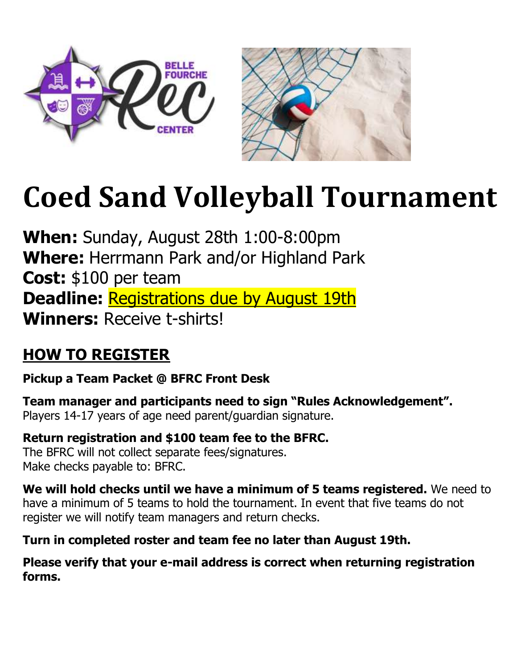



# **Coed Sand Volleyball Tournament**

**When:** Sunday, August 28th 1:00-8:00pm **Where:** Herrmann Park and/or Highland Park **Cost:** \$100 per team **Deadline:** Registrations due by August 19th **Winners:** Receive t-shirts!

# **HOW TO REGISTER**

**Pickup a Team Packet @ BFRC Front Desk**

**Team manager and participants need to sign "Rules Acknowledgement".** Players 14-17 years of age need parent/guardian signature.

**Return registration and \$100 team fee to the BFRC.** The BFRC will not collect separate fees/signatures. Make checks payable to: BFRC.

**We will hold checks until we have a minimum of 5 teams registered.** We need to have a minimum of 5 teams to hold the tournament. In event that five teams do not register we will notify team managers and return checks.

**Turn in completed roster and team fee no later than August 19th.**

**Please verify that your e-mail address is correct when returning registration forms.**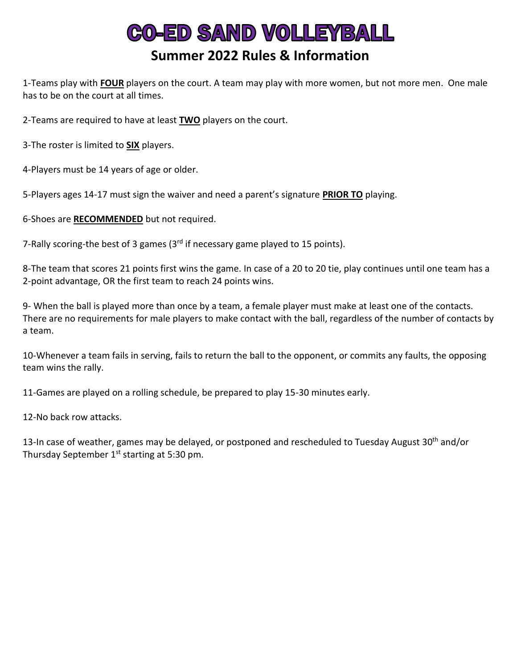## **CO-ED SAND VOLLEYBALL Summer 2022 Rules & Information**

1-Teams play with **FOUR** players on the court. A team may play with more women, but not more men. One male has to be on the court at all times.

2-Teams are required to have at least **TWO** players on the court.

3-The roster is limited to **SIX** players.

4-Players must be 14 years of age or older.

5-Players ages 14-17 must sign the waiver and need a parent's signature **PRIOR TO** playing.

6-Shoes are **RECOMMENDED** but not required.

7-Rally scoring-the best of 3 games  $(3<sup>rd</sup>$  if necessary game played to 15 points).

8-The team that scores 21 points first wins the game. In case of a 20 to 20 tie, play continues until one team has a 2-point advantage, OR the first team to reach 24 points wins.

9- When the ball is played more than once by a team, a female player must make at least one of the contacts. There are no requirements for male players to make contact with the ball, regardless of the number of contacts by a team.

10-Whenever a team fails in serving, fails to return the ball to the opponent, or commits any faults, the opposing team wins the rally.

11-Games are played on a rolling schedule, be prepared to play 15-30 minutes early.

12-No back row attacks.

13-In case of weather, games may be delayed, or postponed and rescheduled to Tuesday August 30<sup>th</sup> and/or Thursday September  $1<sup>st</sup>$  starting at 5:30 pm.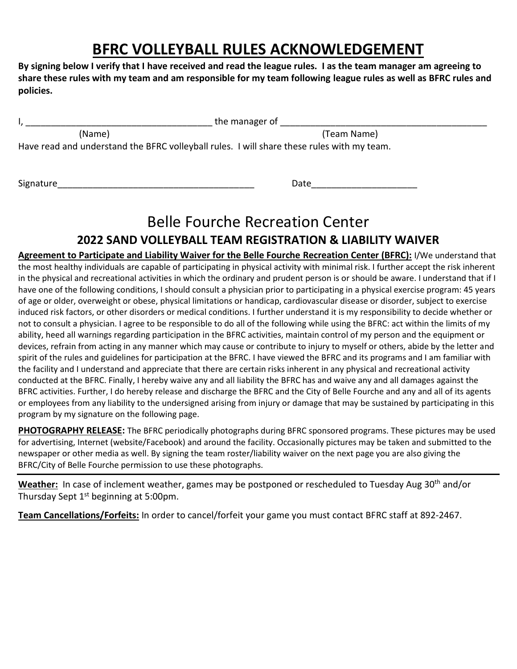## **BFRC VOLLEYBALL RULES ACKNOWLEDGEMENT**

**By signing below I verify that I have received and read the league rules. I as the team manager am agreeing to share these rules with my team and am responsible for my team following league rules as well as BFRC rules and policies.**

|                                                                                            | the manager of |  |  |  |
|--------------------------------------------------------------------------------------------|----------------|--|--|--|
| (Name)                                                                                     | (Team Name)    |  |  |  |
| Have read and understand the BFRC volleyball rules. I will share these rules with my team. |                |  |  |  |
|                                                                                            |                |  |  |  |

Signature\_\_\_\_\_\_\_\_\_\_\_\_\_\_\_\_\_\_\_\_\_\_\_\_\_\_\_\_\_\_\_\_\_\_\_\_\_\_\_ Date\_\_\_\_\_\_\_\_\_\_\_\_\_\_\_\_\_\_\_\_\_

## Belle Fourche Recreation Center

### **2022 SAND VOLLEYBALL TEAM REGISTRATION & LIABILITY WAIVER**

**Agreement to Participate and Liability Waiver for the Belle Fourche Recreation Center (BFRC):** I/We understand that the most healthy individuals are capable of participating in physical activity with minimal risk. I further accept the risk inherent in the physical and recreational activities in which the ordinary and prudent person is or should be aware. I understand that if I have one of the following conditions, I should consult a physician prior to participating in a physical exercise program: 45 years of age or older, overweight or obese, physical limitations or handicap, cardiovascular disease or disorder, subject to exercise induced risk factors, or other disorders or medical conditions. I further understand it is my responsibility to decide whether or not to consult a physician. I agree to be responsible to do all of the following while using the BFRC: act within the limits of my ability, heed all warnings regarding participation in the BFRC activities, maintain control of my person and the equipment or devices, refrain from acting in any manner which may cause or contribute to injury to myself or others, abide by the letter and spirit of the rules and guidelines for participation at the BFRC. I have viewed the BFRC and its programs and I am familiar with the facility and I understand and appreciate that there are certain risks inherent in any physical and recreational activity conducted at the BFRC. Finally, I hereby waive any and all liability the BFRC has and waive any and all damages against the BFRC activities. Further, I do hereby release and discharge the BFRC and the City of Belle Fourche and any and all of its agents or employees from any liability to the undersigned arising from injury or damage that may be sustained by participating in this program by my signature on the following page.

**PHOTOGRAPHY RELEASE:** The BFRC periodically photographs during BFRC sponsored programs. These pictures may be used for advertising, Internet (website/Facebook) and around the facility. Occasionally pictures may be taken and submitted to the newspaper or other media as well. By signing the team roster/liability waiver on the next page you are also giving the BFRC/City of Belle Fourche permission to use these photographs.

Weather: In case of inclement weather, games may be postponed or rescheduled to Tuesday Aug 30<sup>th</sup> and/or Thursday Sept 1<sup>st</sup> beginning at 5:00pm.

**Team Cancellations/Forfeits:** In order to cancel/forfeit your game you must contact BFRC staff at 892-2467.